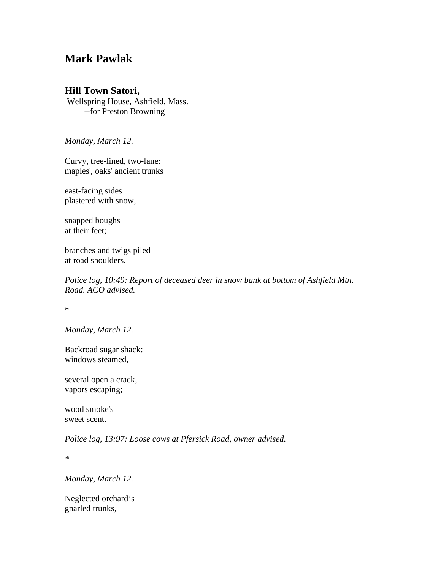## **Mark Pawlak**

## **Hill Town Satori,**

Wellspring House, Ashfield, Mass. --for Preston Browning

*Monday, March 12.*

Curvy, tree-lined, two-lane: maples', oaks' ancient trunks

east-facing sides plastered with snow,

snapped boughs at their feet;

branches and twigs piled at road shoulders.

*Police log, 10:49: Report of deceased deer in snow bank at bottom of Ashfield Mtn. Road. ACO advised.*

\*

*Monday, March 12.*

Backroad sugar shack: windows steamed,

several open a crack, vapors escaping;

wood smoke's sweet scent.

*Police log, 13:97: Loose cows at Pfersick Road, owner advised.*

*\**

*Monday, March 12.*

Neglected orchard's gnarled trunks,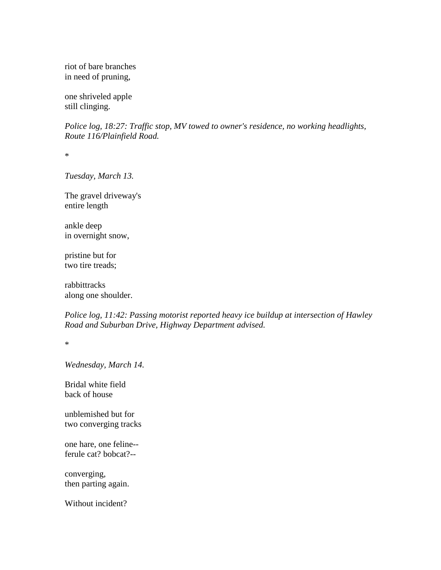riot of bare branches in need of pruning,

one shriveled apple still clinging.

*Police log, 18:27: Traffic stop, MV towed to owner's residence, no working headlights, Route 116/Plainfield Road.*

\*

*Tuesday, March 13.*

The gravel driveway's entire length

ankle deep in overnight snow,

pristine but for two tire treads;

rabbittracks along one shoulder.

*Police log, 11:42: Passing motorist reported heavy ice buildup at intersection of Hawley Road and Suburban Drive, Highway Department advised.*

\*

*Wednesday, March 14.*

Bridal white field back of house

unblemished but for two converging tracks

one hare, one feline- ferule cat? bobcat?--

converging, then parting again.

Without incident?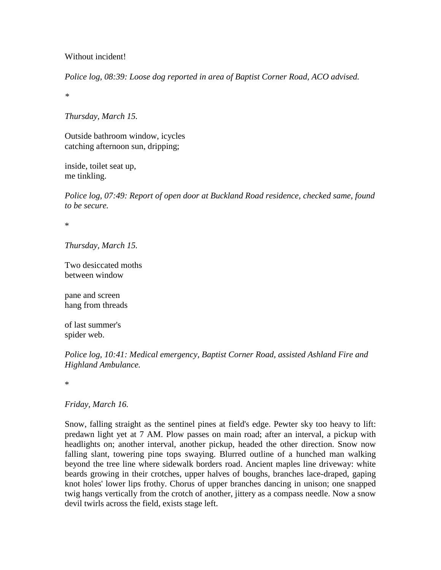## Without incident!

*Police log, 08:39: Loose dog reported in area of Baptist Corner Road, ACO advised.*

*\**

*Thursday, March 15.*

Outside bathroom window, icycles catching afternoon sun, dripping;

inside, toilet seat up, me tinkling.

*Police log, 07:49: Report of open door at Buckland Road residence, checked same, found to be secure.*

\*

*Thursday, March 15.*

Two desiccated moths between window

pane and screen hang from threads

of last summer's spider web.

*Police log, 10:41: Medical emergency, Baptist Corner Road, assisted Ashland Fire and Highland Ambulance.*

\*

## *Friday, March 16.*

Snow, falling straight as the sentinel pines at field's edge. Pewter sky too heavy to lift: predawn light yet at 7 AM. Plow passes on main road; after an interval, a pickup with headlights on; another interval, another pickup, headed the other direction. Snow now falling slant, towering pine tops swaying. Blurred outline of a hunched man walking beyond the tree line where sidewalk borders road. Ancient maples line driveway: white beards growing in their crotches, upper halves of boughs, branches lace-draped, gaping knot holes' lower lips frothy. Chorus of upper branches dancing in unison; one snapped twig hangs vertically from the crotch of another, jittery as a compass needle. Now a snow devil twirls across the field, exists stage left.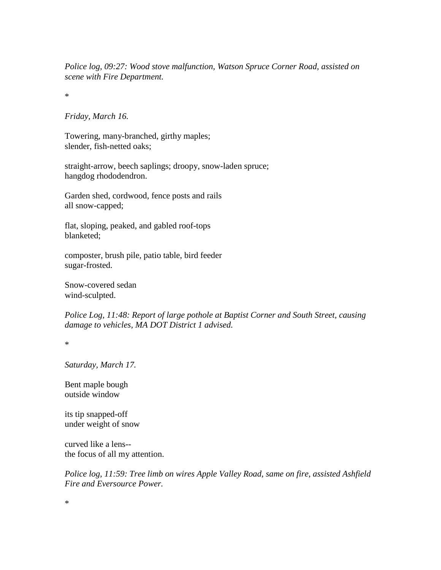*Police log, 09:27: Wood stove malfunction, Watson Spruce Corner Road, assisted on scene with Fire Department.*

\*

*Friday, March 16.*

Towering, many-branched, girthy maples; slender, fish-netted oaks;

straight-arrow, beech saplings; droopy, snow-laden spruce; hangdog rhododendron.

Garden shed, cordwood, fence posts and rails all snow-capped;

flat, sloping, peaked, and gabled roof-tops blanketed;

composter, brush pile, patio table, bird feeder sugar-frosted.

Snow-covered sedan wind-sculpted.

*Police Log, 11:48: Report of large pothole at Baptist Corner and South Street, causing damage to vehicles, MA DOT District 1 advised.*

\*

*Saturday, March 17.*

Bent maple bough outside window

its tip snapped-off under weight of snow

curved like a lens- the focus of all my attention.

*Police log, 11:59: Tree limb on wires Apple Valley Road, same on fire, assisted Ashfield Fire and Eversource Power.*

\*